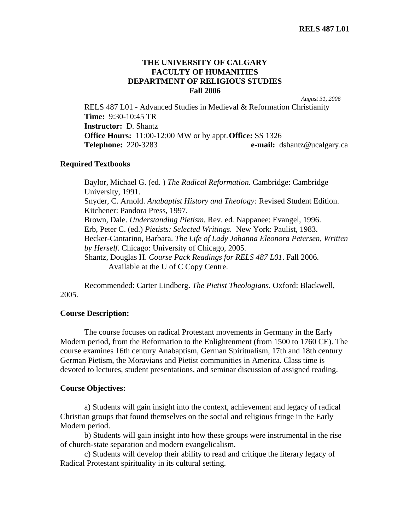## **THE UNIVERSITY OF CALGARY FACULTY OF HUMANITIES DEPARTMENT OF RELIGIOUS STUDIES Fall 2006**

*August 31, 2006*

RELS 487 L01 - Advanced Studies in Medieval & Reformation Christianity **Time:** 9:30-10:45 TR **Instructor:** D. Shantz **Office Hours:** 11:00-12:00 MW or by appt. **Office:** SS 1326 **Telephone:** 220-3283 **e-mail:** dshantz@ucalgary.ca

### **Required Textbooks**

Baylor, Michael G. (ed. ) *The Radical Reformation.* Cambridge: Cambridge University, 1991. Snyder, C. Arnold. *Anabaptist History and Theology:* Revised Student Edition. Kitchener: Pandora Press, 1997. Brown, Dale. *Understanding Pietism.* Rev. ed*.* Nappanee: Evangel, 1996. Erb, Peter C. (ed.) *Pietists: Selected Writings.* New York: Paulist, 1983. Becker-Cantarino, Barbara. *The Life of Lady Johanna Eleonora Petersen, Written by Herself.* Chicago: University of Chicago, 2005. Shantz, Douglas H. *Course Pack Readings for RELS 487 L01*. Fall 2006. Available at the U of C Copy Centre.

 Recommended: Carter Lindberg. *The Pietist Theologians.* Oxford: Blackwell, 2005.

#### **Course Description:**

 The course focuses on radical Protestant movements in Germany in the Early Modern period, from the Reformation to the Enlightenment (from 1500 to 1760 CE). The course examines 16th century Anabaptism, German Spiritualism, 17th and 18th century German Pietism, the Moravians and Pietist communities in America. Class time is devoted to lectures, student presentations, and seminar discussion of assigned reading.

#### **Course Objectives:**

 a) Students will gain insight into the context, achievement and legacy of radical Christian groups that found themselves on the social and religious fringe in the Early Modern period.

 b) Students will gain insight into how these groups were instrumental in the rise of church-state separation and modern evangelicalism.

c) Students will develop their ability to read and critique the literary legacy of Radical Protestant spirituality in its cultural setting.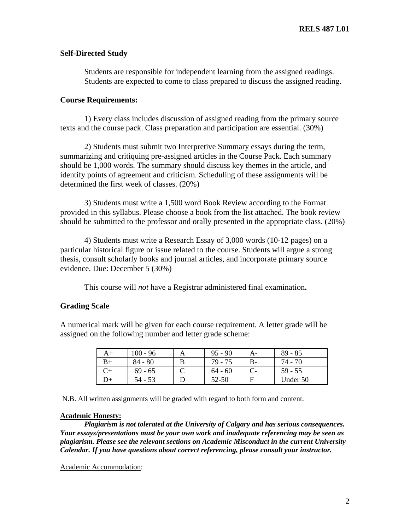### **Self-Directed Study**

Students are responsible for independent learning from the assigned readings. Students are expected to come to class prepared to discuss the assigned reading.

#### **Course Requirements:**

 1) Every class includes discussion of assigned reading from the primary source texts and the course pack. Class preparation and participation are essential. (30%)

2) Students must submit two Interpretive Summary essays during the term, summarizing and critiquing pre-assigned articles in the Course Pack. Each summary should be 1,000 words. The summary should discuss key themes in the article, and identify points of agreement and criticism. Scheduling of these assignments will be determined the first week of classes. (20%)

 3) Students must write a 1,500 word Book Review according to the Format provided in this syllabus. Please choose a book from the list attached. The book review should be submitted to the professor and orally presented in the appropriate class. (20%)

 4) Students must write a Research Essay of 3,000 words (10-12 pages) on a particular historical figure or issue related to the course. Students will argue a strong thesis, consult scholarly books and journal articles, and incorporate primary source evidence. Due: December 5 (30%)

This course will *not* have a Registrar administered final examination**.**

# **Grading Scale**

A numerical mark will be given for each course requirement. A letter grade will be assigned on the following number and letter grade scheme:

| A+   | $100 - 96$ | $95 - 90$ |    | $89 - 85$ |
|------|------------|-----------|----|-----------|
| B+   | $84 - 80$  | 79 - 75   | В- | 74 - 70   |
|      | $69 - 65$  | $64 - 60$ |    | $59 - 55$ |
| $)+$ | 54 - 53    | 52-50     |    | Under 50  |

N.B. All written assignments will be graded with regard to both form and content.

#### **Academic Honesty:**

*Plagiarism is not tolerated at the University of Calgary and has serious consequences. Your essays/presentations must be your own work and inadequate referencing may be seen as plagiarism. Please see the relevant sections on Academic Misconduct in the current University Calendar. If you have questions about correct referencing, please consult your instructor.* 

Academic Accommodation: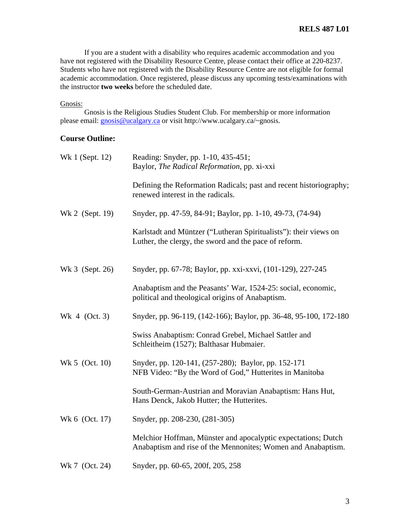If you are a student with a disability who requires academic accommodation and you have not registered with the Disability Resource Centre, please contact their office at 220-8237. Students who have not registered with the Disability Resource Centre are not eligible for formal academic accommodation. Once registered, please discuss any upcoming tests/examinations with the instructor **two weeks** before the scheduled date.

# Gnosis:

Gnosis is the Religious Studies Student Club. For membership or more information please email: gnosis@ucalgary.ca or visit http://www.ucalgary.ca/~gnosis.

# **Course Outline:**

| Wk 1 (Sept. 12) | Reading: Snyder, pp. 1-10, 435-451;<br>Baylor, The Radical Reformation, pp. xi-xxi                                            |
|-----------------|-------------------------------------------------------------------------------------------------------------------------------|
|                 | Defining the Reformation Radicals; past and recent historiography;<br>renewed interest in the radicals.                       |
| Wk 2 (Sept. 19) | Snyder, pp. 47-59, 84-91; Baylor, pp. 1-10, 49-73, (74-94)                                                                    |
|                 | Karlstadt and Müntzer ("Lutheran Spiritualists"): their views on<br>Luther, the clergy, the sword and the pace of reform.     |
| Wk 3 (Sept. 26) | Snyder, pp. 67-78; Baylor, pp. xxi-xxvi, (101-129), 227-245                                                                   |
|                 | Anabaptism and the Peasants' War, 1524-25: social, economic,<br>political and theological origins of Anabaptism.              |
| Wk 4 (Oct. 3)   | Snyder, pp. 96-119, (142-166); Baylor, pp. 36-48, 95-100, 172-180                                                             |
|                 | Swiss Anabaptism: Conrad Grebel, Michael Sattler and<br>Schleitheim (1527); Balthasar Hubmaier.                               |
| Wk 5 (Oct. 10)  | Snyder, pp. 120-141, (257-280); Baylor, pp. 152-171<br>NFB Video: "By the Word of God," Hutterites in Manitoba                |
|                 | South-German-Austrian and Moravian Anabaptism: Hans Hut,<br>Hans Denck, Jakob Hutter; the Hutterites.                         |
| Wk 6 (Oct. 17)  | Snyder, pp. 208-230, (281-305)                                                                                                |
|                 | Melchior Hoffman, Münster and apocalyptic expectations; Dutch<br>Anabaptism and rise of the Mennonites; Women and Anabaptism. |
| Wk 7 (Oct. 24)  | Snyder, pp. 60-65, 200f, 205, 258                                                                                             |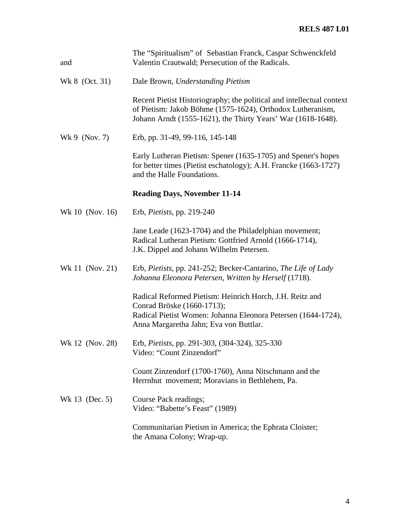| and             | The "Spiritualism" of Sebastian Franck, Caspar Schwenckfeld<br>Valentin Crautwald; Persecution of the Radicals.                                                                                     |
|-----------------|-----------------------------------------------------------------------------------------------------------------------------------------------------------------------------------------------------|
| Wk 8 (Oct. 31)  | Dale Brown, Understanding Pietism                                                                                                                                                                   |
|                 | Recent Pietist Historiography; the political and intellectual context<br>of Pietism: Jakob Böhme (1575-1624), Orthodox Lutheranism,<br>Johann Arndt (1555-1621), the Thirty Years' War (1618-1648). |
| Wk 9 $(Nov. 7)$ | Erb, pp. 31-49, 99-116, 145-148                                                                                                                                                                     |
|                 | Early Lutheran Pietism: Spener (1635-1705) and Spener's hopes<br>for better times (Pietist eschatology); A.H. Francke (1663-1727)<br>and the Halle Foundations.                                     |
|                 | <b>Reading Days, November 11-14</b>                                                                                                                                                                 |
| Wk 10 (Nov. 16) | Erb, <i>Pietists</i> , pp. 219-240                                                                                                                                                                  |
|                 | Jane Leade (1623-1704) and the Philadelphian movement;<br>Radical Lutheran Pietism: Gottfried Arnold (1666-1714),<br>J.K. Dippel and Johann Wilhelm Petersen.                                       |
| Wk 11 (Nov. 21) | Erb, Pietists, pp. 241-252; Becker-Cantarino, The Life of Lady<br>Johanna Eleonora Petersen, Written by Herself (1718).                                                                             |
|                 | Radical Reformed Pietism: Heinrich Horch, J.H. Reitz and<br>Conrad Bröske (1660-1713);<br>Radical Pietist Women: Johanna Eleonora Petersen (1644-1724),<br>Anna Margaretha Jahn; Eva von Buttlar.   |
| Wk 12 (Nov. 28) | Erb, Pietists, pp. 291-303, (304-324), 325-330<br>Video: "Count Zinzendorf"                                                                                                                         |
|                 | Count Zinzendorf (1700-1760), Anna Nitschmann and the<br>Herrnhut movement; Moravians in Bethlehem, Pa.                                                                                             |
| Wk 13 (Dec. 5)  | Course Pack readings;<br>Video: "Babette's Feast" (1989)                                                                                                                                            |
|                 | Communitarian Pietism in America; the Ephrata Cloister;<br>the Amana Colony; Wrap-up.                                                                                                               |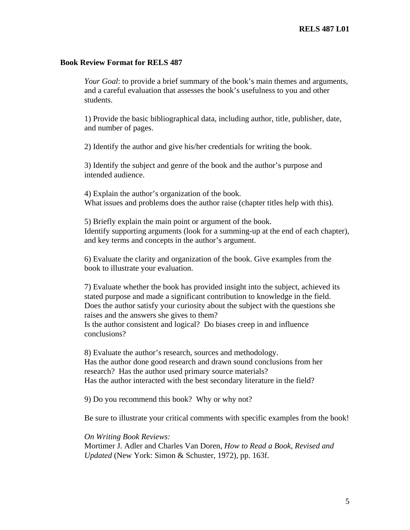### **Book Review Format for RELS 487**

*Your Goal*: to provide a brief summary of the book's main themes and arguments, and a careful evaluation that assesses the book's usefulness to you and other students.

1) Provide the basic bibliographical data, including author, title, publisher, date, and number of pages.

2) Identify the author and give his/her credentials for writing the book.

3) Identify the subject and genre of the book and the author's purpose and intended audience.

 4) Explain the author's organization of the book. What issues and problems does the author raise (chapter titles help with this).

5) Briefly explain the main point or argument of the book. Identify supporting arguments (look for a summing-up at the end of each chapter), and key terms and concepts in the author's argument.

6) Evaluate the clarity and organization of the book. Give examples from the book to illustrate your evaluation.

7) Evaluate whether the book has provided insight into the subject, achieved its stated purpose and made a significant contribution to knowledge in the field. Does the author satisfy your curiosity about the subject with the questions she raises and the answers she gives to them? Is the author consistent and logical? Do biases creep in and influence conclusions?

 8) Evaluate the author's research, sources and methodology. Has the author done good research and drawn sound conclusions from her research? Has the author used primary source materials? Has the author interacted with the best secondary literature in the field?

9) Do you recommend this book? Why or why not?

Be sure to illustrate your critical comments with specific examples from the book!

*On Writing Book Reviews:*  Mortimer J. Adler and Charles Van Doren, *How to Read a Book, Revised and Updated* (New York: Simon & Schuster, 1972), pp. 163f.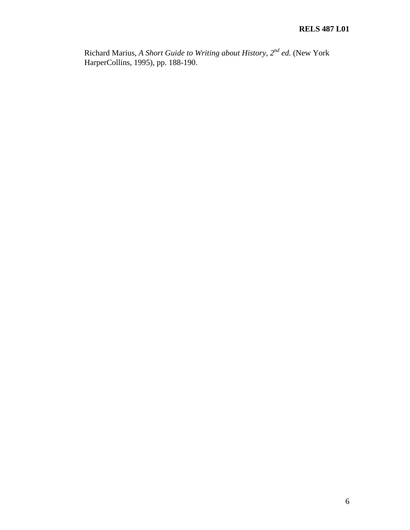Richard Marius, *A Short Guide to Writing about History, 2nd ed.* (New York HarperCollins, 1995), pp. 188-190.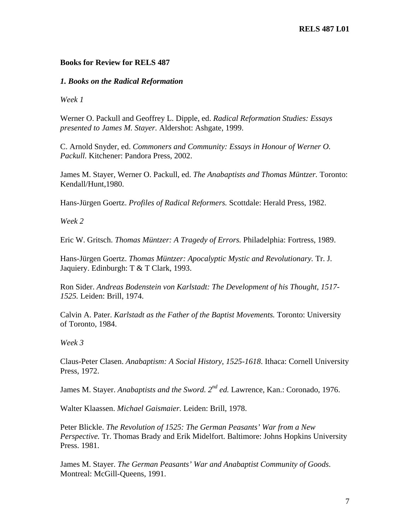## **Books for Review for RELS 487**

### *1. Books on the Radical Reformation*

*Week 1* 

Werner O. Packull and Geoffrey L. Dipple, ed. *Radical Reformation Studies: Essays presented to James M. Stayer.* Aldershot: Ashgate, 1999.

C. Arnold Snyder, ed. *Commoners and Community: Essays in Honour of Werner O. Packull.* Kitchener: Pandora Press, 2002.

James M. Stayer, Werner O. Packull, ed. *The Anabaptists and Thomas Müntzer.* Toronto: Kendall/Hunt,1980.

Hans-Jürgen Goertz. *Profiles of Radical Reformers.* Scottdale: Herald Press, 1982.

*Week 2* 

Eric W. Gritsch. *Thomas Müntzer: A Tragedy of Errors.* Philadelphia: Fortress, 1989.

Hans-Jürgen Goertz. *Thomas Müntzer: Apocalyptic Mystic and Revolutionary.* Tr. J. Jaquiery. Edinburgh: T & T Clark, 1993.

Ron Sider. *Andreas Bodenstein von Karlstadt: The Development of his Thought, 1517- 1525.* Leiden: Brill, 1974.

Calvin A. Pater. *Karlstadt as the Father of the Baptist Movements.* Toronto: University of Toronto, 1984.

*Week 3* 

Claus-Peter Clasen. *Anabaptism: A Social History, 1525-1618*. Ithaca: Cornell University Press, 1972.

James M. Stayer. *Anabaptists and the Sword.* 2<sup>nd</sup> ed. Lawrence, Kan.: Coronado, 1976.

Walter Klaassen. *Michael Gaismaier.* Leiden: Brill, 1978.

Peter Blickle. *The Revolution of 1525: The German Peasants' War from a New Perspective.* Tr. Thomas Brady and Erik Midelfort. Baltimore: Johns Hopkins University Press. 1981.

James M. Stayer. *The German Peasants' War and Anabaptist Community of Goods*. Montreal: McGill-Queens, 1991.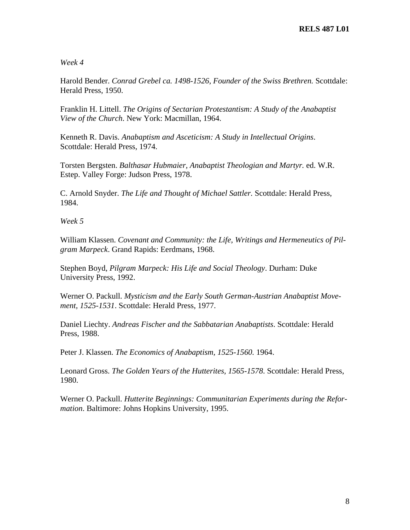# *Week 4*

Harold Bender. *Conrad Grebel ca. 1498-1526, Founder of the Swiss Brethren.* Scottdale: Herald Press, 1950.

Franklin H. Littell. *The Origins of Sectarian Protestantism: A Study of the Anabaptist View of the Church*. New York: Macmillan, 1964.

Kenneth R. Davis. *Anabaptism and Asceticism: A Study in Intellectual Origins*. Scottdale: Herald Press, 1974.

Torsten Bergsten. *Balthasar Hubmaier, Anabaptist Theologian and Martyr.* ed. W.R. Estep. Valley Forge: Judson Press, 1978.

C. Arnold Snyder. *The Life and Thought of Michael Sattler.* Scottdale: Herald Press, 1984.

*Week 5* 

William Klassen. *Covenant and Community: the Life, Writings and Hermeneutics of Pilgram Marpeck*. Grand Rapids: Eerdmans, 1968.

Stephen Boyd, *Pilgram Marpeck: His Life and Social Theology*. Durham: Duke University Press, 1992.

Werner O. Packull. *Mysticism and the Early South German-Austrian Anabaptist Movement, 1525-1531*. Scottdale: Herald Press, 1977.

Daniel Liechty. *Andreas Fischer and the Sabbatarian Anabaptists*. Scottdale: Herald Press, 1988.

Peter J. Klassen. *The Economics of Anabaptism, 1525-1560.* 1964.

Leonard Gross. *The Golden Years of the Hutterites, 1565-1578*. Scottdale: Herald Press, 1980.

Werner O. Packull. *Hutterite Beginnings: Communitarian Experiments during the Reformation*. Baltimore: Johns Hopkins University, 1995.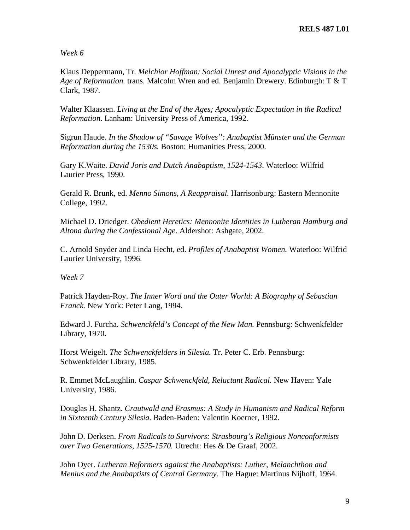*Week 6* 

Klaus Deppermann, Tr. *Melchior Hoffman: Social Unrest and Apocalyptic Visions in the Age of Reformation.* trans. Malcolm Wren and ed. Benjamin Drewery. Edinburgh: T & T Clark, 1987.

Walter Klaassen. *Living at the End of the Ages; Apocalyptic Expectation in the Radical Reformation*. Lanham: University Press of America, 1992.

Sigrun Haude. *In the Shadow of "Savage Wolves": Anabaptist Münster and the German Reformation during the 1530s.* Boston: Humanities Press, 2000.

Gary K.Waite. *David Joris and Dutch Anabaptism, 1524-1543*. Waterloo: Wilfrid Laurier Press, 1990.

Gerald R. Brunk, ed. *Menno Simons, A Reappraisal.* Harrisonburg: Eastern Mennonite College, 1992.

Michael D. Driedger. *Obedient Heretics: Mennonite Identities in Lutheran Hamburg and Altona during the Confessional Age*. Aldershot: Ashgate, 2002.

C. Arnold Snyder and Linda Hecht, ed. *Profiles of Anabaptist Women.* Waterloo: Wilfrid Laurier University, 1996.

*Week 7* 

Patrick Hayden-Roy. *The Inner Word and the Outer World: A Biography of Sebastian Franck.* New York: Peter Lang, 1994.

Edward J. Furcha. *Schwenckfeld's Concept of the New Man.* Pennsburg: Schwenkfelder Library, 1970.

Horst Weigelt. *The Schwenckfelders in Silesia.* Tr. Peter C. Erb. Pennsburg: Schwenkfelder Library, 1985.

R. Emmet McLaughlin. *Caspar Schwenckfeld, Reluctant Radical.* New Haven: Yale University, 1986.

Douglas H. Shantz. *Crautwald and Erasmus: A Study in Humanism and Radical Reform in Sixteenth Century Silesia.* Baden-Baden: Valentin Koerner, 1992.

John D. Derksen. *From Radicals to Survivors: Strasbourg's Religious Nonconformists over Two Generations, 1525-1570.* Utrecht: Hes & De Graaf, 2002.

John Oyer. *Lutheran Reformers against the Anabaptists: Luther, Melanchthon and Menius and the Anabaptists of Central Germany.* The Hague: Martinus Nijhoff, 1964.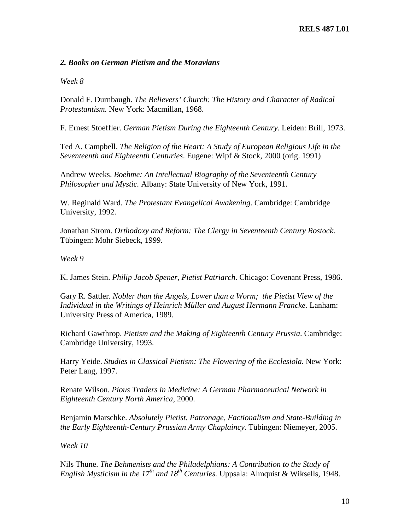# *2. Books on German Pietism and the Moravians*

*Week 8* 

Donald F. Durnbaugh. *The Believers' Church: The History and Character of Radical Protestantism.* New York: Macmillan, 1968.

F. Ernest Stoeffler. *German Pietism During the Eighteenth Century.* Leiden: Brill, 1973.

Ted A. Campbell. *The Religion of the Heart: A Study of European Religious Life in the Seventeenth and Eighteenth Centuries*. Eugene: Wipf & Stock, 2000 (orig. 1991)

Andrew Weeks. *Boehme: An Intellectual Biography of the Seventeenth Century Philosopher and Mystic.* Albany: State University of New York, 1991.

W. Reginald Ward. *The Protestant Evangelical Awakening*. Cambridge: Cambridge University, 1992.

Jonathan Strom. *Orthodoxy and Reform: The Clergy in Seventeenth Century Rostock*. Tübingen: Mohr Siebeck, 1999.

*Week 9* 

K. James Stein. *Philip Jacob Spener, Pietist Patriarch*. Chicago: Covenant Press, 1986.

Gary R. Sattler. *Nobler than the Angels, Lower than a Worm; the Pietist View of the Individual in the Writings of Heinrich Müller and August Hermann Francke.* Lanham: University Press of America, 1989.

Richard Gawthrop. *Pietism and the Making of Eighteenth Century Prussia*. Cambridge: Cambridge University, 1993.

Harry Yeide. *Studies in Classical Pietism: The Flowering of the Ecclesiola.* New York: Peter Lang, 1997.

Renate Wilson. *Pious Traders in Medicine: A German Pharmaceutical Network in Eighteenth Century North America*, 2000.

Benjamin Marschke. *Absolutely Pietist. Patronage, Factionalism and State-Building in the Early Eighteenth-Century Prussian Army Chaplaincy.* Tübingen: Niemeyer, 2005.

*Week 10* 

Nils Thune. *The Behmenists and the Philadelphians: A Contribution to the Study of English Mysticism in the 17th and 18th Centuries.* Uppsala: Almquist & Wiksells, 1948.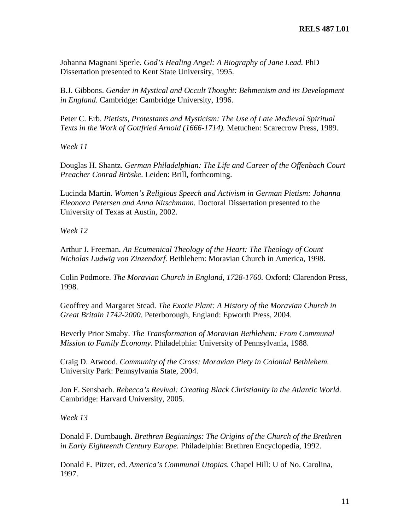Johanna Magnani Sperle. *God's Healing Angel: A Biography of Jane Lead.* PhD Dissertation presented to Kent State University, 1995.

B.J. Gibbons. *Gender in Mystical and Occult Thought: Behmenism and its Development in England.* Cambridge: Cambridge University, 1996.

Peter C. Erb. *Pietists, Protestants and Mysticism: The Use of Late Medieval Spiritual Texts in the Work of Gottfried Arnold (1666-1714).* Metuchen: Scarecrow Press, 1989.

*Week 11* 

Douglas H. Shantz. *German Philadelphian: The Life and Career of the Offenbach Court Preacher Conrad Bröske*. Leiden: Brill, forthcoming.

Lucinda Martin. *Women's Religious Speech and Activism in German Pietism: Johanna Eleonora Petersen and Anna Nitschmann.* Doctoral Dissertation presented to the University of Texas at Austin, 2002.

*Week 12* 

Arthur J. Freeman. *An Ecumenical Theology of the Heart: The Theology of Count Nicholas Ludwig von Zinzendorf.* Bethlehem: Moravian Church in America, 1998.

Colin Podmore. *The Moravian Church in England, 1728-1760.* Oxford: Clarendon Press, 1998.

Geoffrey and Margaret Stead. *The Exotic Plant: A History of the Moravian Church in Great Britain 1742-2000.* Peterborough, England: Epworth Press, 2004.

Beverly Prior Smaby. *The Transformation of Moravian Bethlehem: From Communal Mission to Family Economy.* Philadelphia: University of Pennsylvania, 1988.

Craig D. Atwood. *Community of the Cross: Moravian Piety in Colonial Bethlehem.*  University Park: Pennsylvania State, 2004.

Jon F. Sensbach. *Rebecca's Revival: Creating Black Christianity in the Atlantic World.*  Cambridge: Harvard University, 2005.

*Week 13* 

Donald F. Durnbaugh. *Brethren Beginnings: The Origins of the Church of the Brethren in Early Eighteenth Century Europe.* Philadelphia: Brethren Encyclopedia, 1992.

Donald E. Pitzer, ed. *America's Communal Utopias.* Chapel Hill: U of No. Carolina, 1997.